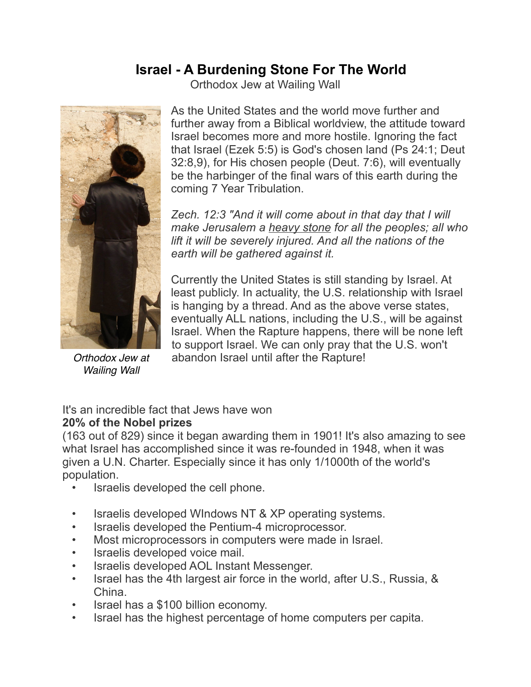## **Israel - A Burdening Stone For The World**

Orthodox Jew at Wailing Wall



*Orthodox Jew at Wailing Wall* 

As the United States and the world move further and further away from a Biblical worldview, the attitude toward Israel becomes more and more hostile. Ignoring the fact that Israel (Ezek 5:5) is God's chosen land (Ps 24:1; Deut 32:8,9), for His chosen people (Deut. 7:6), will eventually be the harbinger of the final wars of this earth during the coming 7 Year Tribulation.

*Zech. 12:3 "And it will come about in that day that I will make Jerusalem a heavy stone for all the peoples; all who lift it will be severely injured. And all the nations of the earth will be gathered against it.*

Currently the United States is still standing by Israel. At least publicly. In actuality, the U.S. relationship with Israel is hanging by a thread. And as the above verse states, eventually ALL nations, including the U.S., will be against Israel. When the Rapture happens, there will be none left to support Israel. We can only pray that the U.S. won't abandon Israel until after the Rapture!

## It's an incredible fact that Jews have won **20% of the Nobel prizes**

(163 out of 829) since it began awarding them in 1901! It's also amazing to see what Israel has accomplished since it was re-founded in 1948, when it was given a U.N. Charter. Especially since it has only 1/1000th of the world's population.

- Israelis developed the cell phone.
- Israelis developed WIndows NT & XP operating systems.
- Israelis developed the Pentium-4 microprocessor.
- Most microprocessors in computers were made in Israel.
- Israelis developed voice mail.
- Israelis developed AOL Instant Messenger.
- Israel has the 4th largest air force in the world, after U.S., Russia, & China.
- Israel has a \$100 billion economy.
- Israel has the highest percentage of home computers per capita.